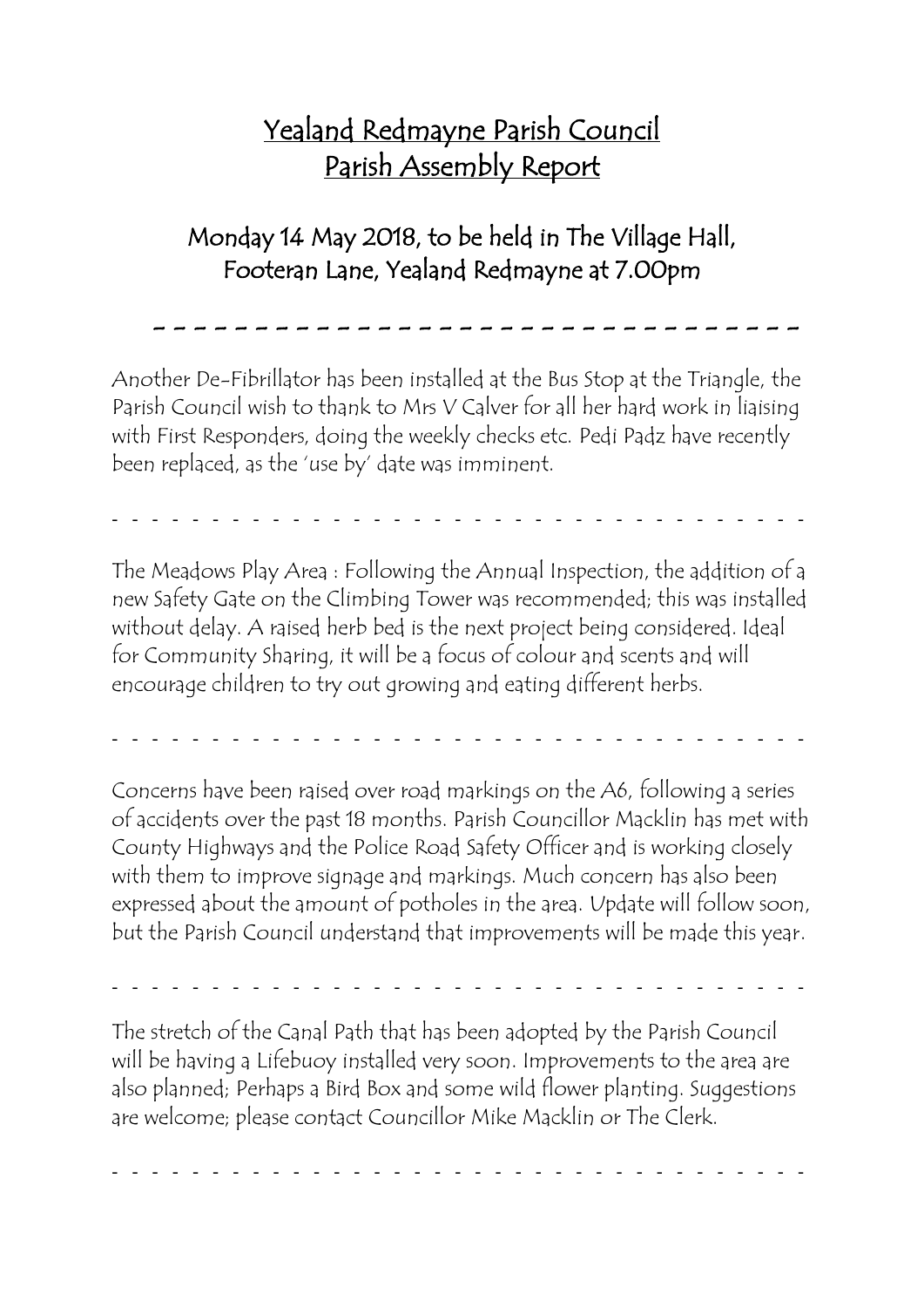## Yealand Redmayne Parish Council Parish Assembly Report

## Monday 14 May 2018, to be held in The Village Hall, Footeran Lane, Yealand Redmayne at 7.00pm

- - - - - - - - - - - - - - - - - - - - - - - - - - - - - - - -

Another De-Fibrillator has been installed at the Bus Stop at the Triangle, the Parish Council wish to thank to Mrs V Calver for all her hard work in liaising with First Responders, doing the weekly checks etc. Pedi Padz have recently been replaced, as the 'use by' date was imminent.

- - - - - - - - - - - - - - - - - - - - - - - - - - - - - - - - - - -

The Meadows Play Area : Following the Annual Inspection, the addition of a new Safety Gate on the Climbing Tower was recommended; this was installed without delay. A raised herb bed is the next project being considered. Ideal for Community Sharing, it will be a focus of colour and scents and will encourage children to try out growing and eating different herbs.

- - - - - - - - - - - - - - - - - - - - - - - - - - - - - - - - - - -

Concerns have been raised over road markings on the A6, following a series of accidents over the past 18 months. Parish Councillor Macklin has met with County Highways and the Police Road Safety Officer and is working closely with them to improve signage and markings. Much concern has also been expressed about the amount of potholes in the area. Update will follow soon, but the Parish Council understand that improvements will be made this year.

- - - - - - - - - - - - - - - - - - - - - - - - - - - - - - - - - - -

The stretch of the Canal Path that has been adopted by the Parish Council will be having a Lifebuoy installed very soon. Improvements to the area are also planned; Perhaps a Bird Box and some wild flower planting. Suggestions are welcome; please contact Councillor Mike Macklin or The Clerk.

- - - - - - - - - - - - - - - - - - - - - - - - - - - - - - - - - - -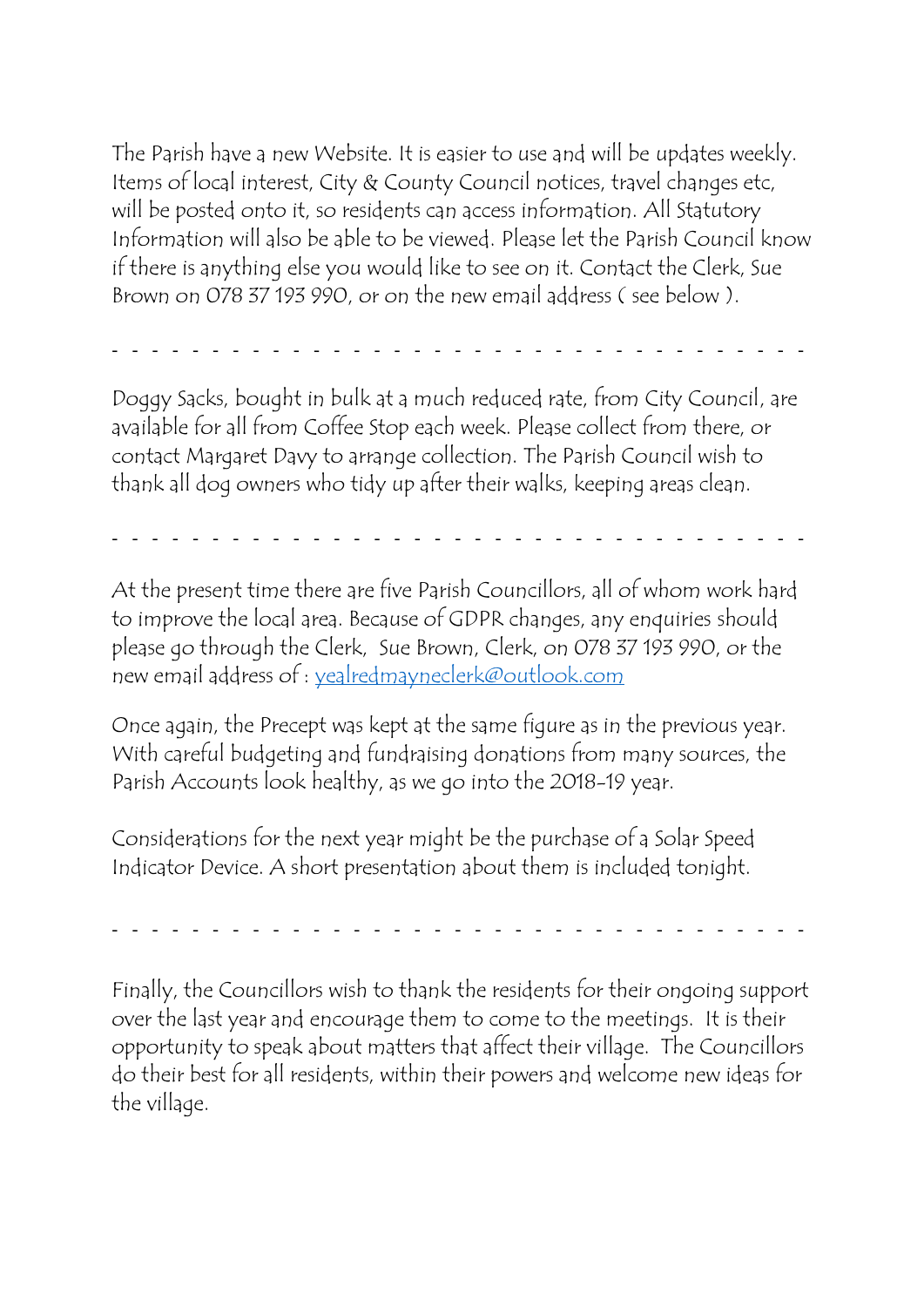The Parish have a new Website. It is easier to use and will be updates weekly. Items of local interest, City & County Council notices, travel changes etc, will be posted onto it, so residents can access information. All Statutory Information will also be able to be viewed. Please let the Parish Council know if there is anything else you would like to see on it. Contact the Clerk, Sue Brown on 078 37 193 990, or on the new email address ( see below ).

- - - - - - - - - - - - - - - - - - - - - - - - - - - - - - - - - - -

Doggy Sacks, bought in bulk at a much reduced rate, from City Council, are available for all from Coffee Stop each week. Please collect from there, or contact Margaret Davy to arrange collection. The Parish Council wish to thank all dog owners who tidy up after their walks, keeping areas clean.

- - - - - - - - - - - - - - - - - - - - - - - - - - - - - - - - - - -

At the present time there are five Parish Councillors, all of whom work hard to improve the local area. Because of GDPR changes, any enquiries should please go through the Clerk, Sue Brown, Clerk, on 078 37 193 990, or the new email address of : [yealredmayneclerk@outlook.com](mailto:yealredmayneclerk@outlook.com)

Once again, the Precept was kept at the same figure as in the previous year. With careful budgeting and fundraising donations from many sources, the Parish Accounts look healthy, as we go into the 2018-19 year.

Considerations for the next year might be the purchase of a Solar Speed Indicator Device. A short presentation about them is included tonight.

- - - - - - - - - - - - - - - - - - - - - - - - - - - - - - - - - - -

Finally, the Councillors wish to thank the residents for their ongoing support over the last year and encourage them to come to the meetings. It is their opportunity to speak about matters that affect their village. The Councillors do their best for all residents, within their powers and welcome new ideas for the village.